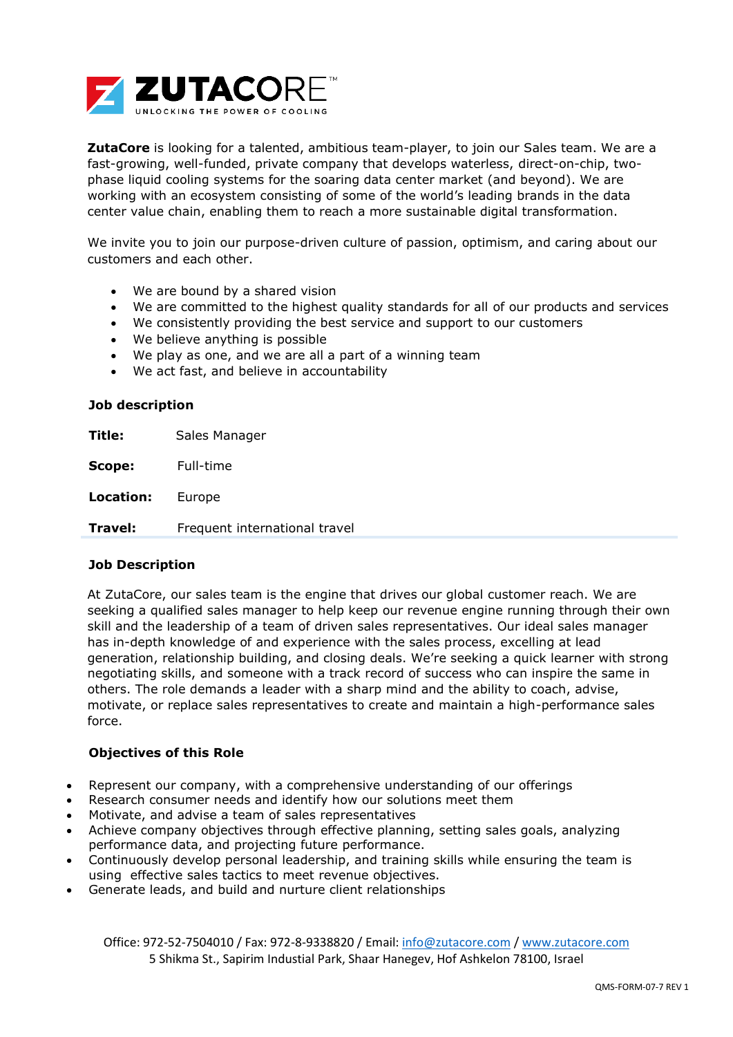

**ZutaCore** is looking for a talented, ambitious team-player, to join our Sales team. We are a fast-growing, well-funded, private company that develops waterless, direct-on-chip, twophase liquid cooling systems for the soaring data center market (and beyond). We are working with an ecosystem consisting of some of the world's leading brands in the data center value chain, enabling them to reach a more sustainable digital transformation.

We invite you to join our purpose-driven culture of passion, optimism, and caring about our customers and each other.

- We are bound by a shared vision
- We are committed to the highest quality standards for all of our products and services
- We consistently providing the best service and support to our customers
- We believe anything is possible
- We play as one, and we are all a part of a winning team
- We act fast, and believe in accountability

### **Job description**

**Title:** Sales Manager

**Scope:** Full-time

**Location:** Europe

**Travel:** Frequent international travel

### **Job Description**

At ZutaCore, our sales team is the engine that drives our global customer reach. We are seeking a qualified sales manager to help keep our revenue engine running through their own skill and the leadership of a team of driven sales representatives. Our ideal sales manager has in-depth knowledge of and experience with the sales process, excelling at lead generation, relationship building, and closing deals. We're seeking a quick learner with strong negotiating skills, and someone with a track record of success who can inspire the same in others. The role demands a leader with a sharp mind and the ability to coach, advise, motivate, or replace sales representatives to create and maintain a high-performance sales force.

### **Objectives of this Role**

- Represent our company, with a comprehensive understanding of our offerings
- Research consumer needs and identify how our solutions meet them
- Motivate, and advise a team of sales representatives
- Achieve company objectives through effective planning, setting sales goals, analyzing performance data, and projecting future performance.
- Continuously develop personal leadership, and training skills while ensuring the team is using effective sales tactics to meet revenue objectives.
- Generate leads, and build and nurture client relationships

Office: 972-52-7504010 / Fax: 972-8-9338820 / Email: [info@zutacore.com](mailto:info@zutacore.com) / [www.zutacore.com](http://www.zutacore.com/) 5 Shikma St., Sapirim Industial Park, Shaar Hanegev, Hof Ashkelon 78100, Israel